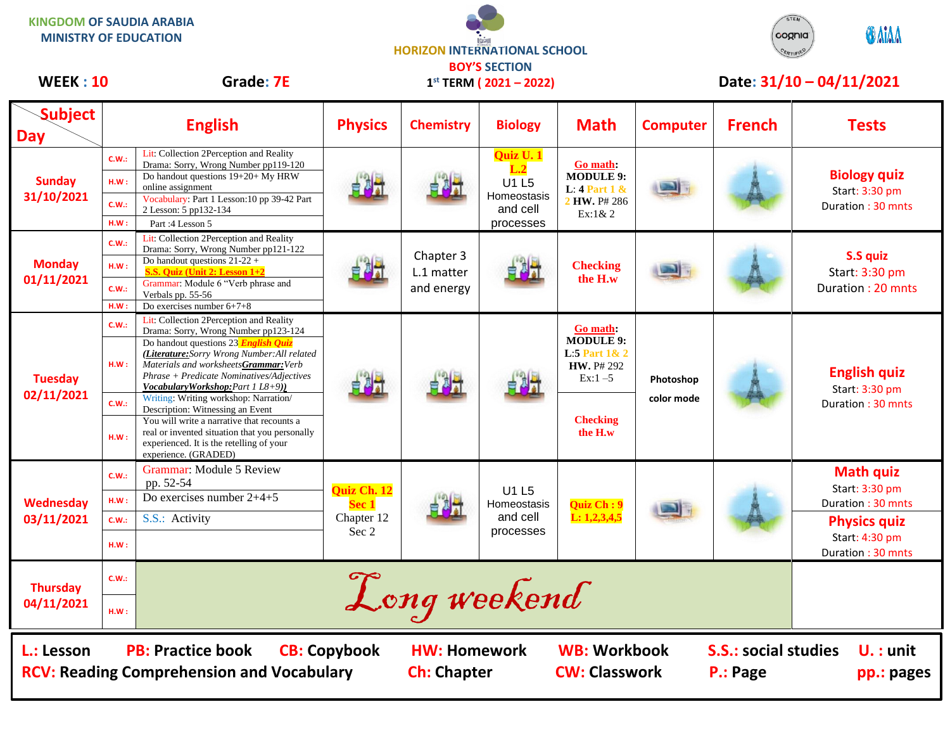| <b>NINGUUIVI UF SAUDIA ANADIA</b><br><b>MINISTRY OF EDUCATION</b>                                                                                                                                                                                        |                               |                                                                                                                                                                                                                                                                                                                                                                                                                                                                                                                                                        | <b>HORIZON INTERNATIONAL SCHOOL</b>                 |                                       |                                                            |                                                                                                                |                                  | cognia        | <b>OMAA</b>                                                                                                           |
|----------------------------------------------------------------------------------------------------------------------------------------------------------------------------------------------------------------------------------------------------------|-------------------------------|--------------------------------------------------------------------------------------------------------------------------------------------------------------------------------------------------------------------------------------------------------------------------------------------------------------------------------------------------------------------------------------------------------------------------------------------------------------------------------------------------------------------------------------------------------|-----------------------------------------------------|---------------------------------------|------------------------------------------------------------|----------------------------------------------------------------------------------------------------------------|----------------------------------|---------------|-----------------------------------------------------------------------------------------------------------------------|
| <b>WEEK: 10</b>                                                                                                                                                                                                                                          |                               | <b>Grade: 7E</b>                                                                                                                                                                                                                                                                                                                                                                                                                                                                                                                                       | <b>BOY'S SECTION</b><br>$1^{st}$ TERM (2021 - 2022) |                                       |                                                            |                                                                                                                | Date: 31/10 - 04/11/2021         |               |                                                                                                                       |
| <b>Subject</b><br><b>Day</b>                                                                                                                                                                                                                             |                               | <b>English</b>                                                                                                                                                                                                                                                                                                                                                                                                                                                                                                                                         | <b>Physics</b>                                      | <b>Chemistry</b>                      | <b>Biology</b>                                             | <b>Math</b>                                                                                                    | <b>Computer</b>                  | <b>French</b> | <b>Tests</b>                                                                                                          |
| <b>Sunday</b><br>31/10/2021                                                                                                                                                                                                                              | C.W.:<br>HM:<br>C.W.:<br>H.W: | Lit: Collection 2Perception and Reality<br>Drama: Sorry, Wrong Number pp119-120<br>Do handout questions 19+20+ My HRW<br>online assignment<br>Vocabulary: Part 1 Lesson: 10 pp 39-42 Part<br>2 Lesson: 5 pp132-134<br>Part: 4 Lesson 5                                                                                                                                                                                                                                                                                                                 |                                                     |                                       | Quiz U. 1<br>U1 L5<br>Homeostasis<br>and cell<br>processes | <b>Go math:</b><br><b>MODULE 9:</b><br>L: $4$ Part $1$ &<br>2 HW. P# 286<br>$Ex:1\& 2$                         |                                  |               | <b>Biology quiz</b><br>Start: 3:30 pm<br>Duration: 30 mnts                                                            |
| <b>Monday</b><br>01/11/2021                                                                                                                                                                                                                              | C.W.:<br>HM:<br>C.W.<br>HM:   | Lit: Collection 2Perception and Reality<br>Drama: Sorry, Wrong Number pp121-122<br>Do handout questions $21-22$ +<br>S.S. Quiz (Unit 2: Lesson 1+2<br>Grammar: Module 6 "Verb phrase and<br>Verbals pp. 55-56<br>Do exercises number 6+7+8                                                                                                                                                                                                                                                                                                             |                                                     | Chapter 3<br>L.1 matter<br>and energy |                                                            | <b>Checking</b><br>the H.w                                                                                     |                                  |               | S.S quiz<br>Start: 3:30 pm<br>Duration: 20 mnts                                                                       |
| <b>Tuesday</b><br>02/11/2021                                                                                                                                                                                                                             | C.W.:<br>HM:<br>C.W.:<br>HM:  | Lit: Collection 2Perception and Reality<br>Drama: Sorry, Wrong Number pp123-124<br>Do handout questions $23$ English Quiz<br>(Literature: Sorry Wrong Number: All related<br>Materials and worksheetsGrammar: Verb<br>Phrase + Predicate Nominatives/Adjectives<br>Vocabulary Workshop: Part 1 L8+9))<br>Writing: Writing workshop: Narration/<br>Description: Witnessing an Event<br>You will write a narrative that recounts a<br>real or invented situation that you personally<br>experienced. It is the retelling of your<br>experience. (GRADED) | 남화가                                                 |                                       |                                                            | <b>Go math:</b><br><b>MODULE 9:</b><br>L:5 Part $1& 2$<br>HW. P# 292<br>$Ex:1-5$<br><b>Checking</b><br>the H.w | Photoshop<br>color mode          |               | <b>English quiz</b><br>Start: 3:30 pm<br>Duration: 30 mnts                                                            |
| Wednesday<br>03/11/2021                                                                                                                                                                                                                                  | C.W.:<br>H.W:<br>C.W.:<br>HM: | Grammar: Module 5 Review<br>pp. 52-54<br>Do exercises number $2+4+5$<br>S.S.: Activity                                                                                                                                                                                                                                                                                                                                                                                                                                                                 | Quiz Ch. 12<br>Sec 1<br>Chapter 12<br>Sec 2         |                                       | U1 L5<br>Homeostasis<br>and cell<br>processes              | Quiz Ch: 9<br>L: 1, 2, 3, 4, 5                                                                                 |                                  |               | <b>Math quiz</b><br>Start: 3:30 pm<br>Duration: 30 mnts<br><b>Physics quiz</b><br>Start: 4:30 pm<br>Duration: 30 mnts |
| <b>Thursday</b><br>04/11/2021                                                                                                                                                                                                                            | C.W.:<br>HM:                  | Long weekend                                                                                                                                                                                                                                                                                                                                                                                                                                                                                                                                           |                                                     |                                       |                                                            |                                                                                                                |                                  |               |                                                                                                                       |
| <b>WB: Workbook</b><br><b>PB: Practice book</b><br><b>CB: Copybook</b><br><b>S.S.: social studies</b><br>L.: Lesson<br><b>HW: Homework</b><br><b>RCV: Reading Comprehension and Vocabulary</b><br><b>CW: Classwork</b><br><b>Ch: Chapter</b><br>P.: Page |                               |                                                                                                                                                                                                                                                                                                                                                                                                                                                                                                                                                        |                                                     |                                       |                                                            |                                                                                                                | $U_{\cdot}$ : unit<br>pp.: pages |               |                                                                                                                       |

STEM

**KINGDOM OF SAUDIA ARABIA**